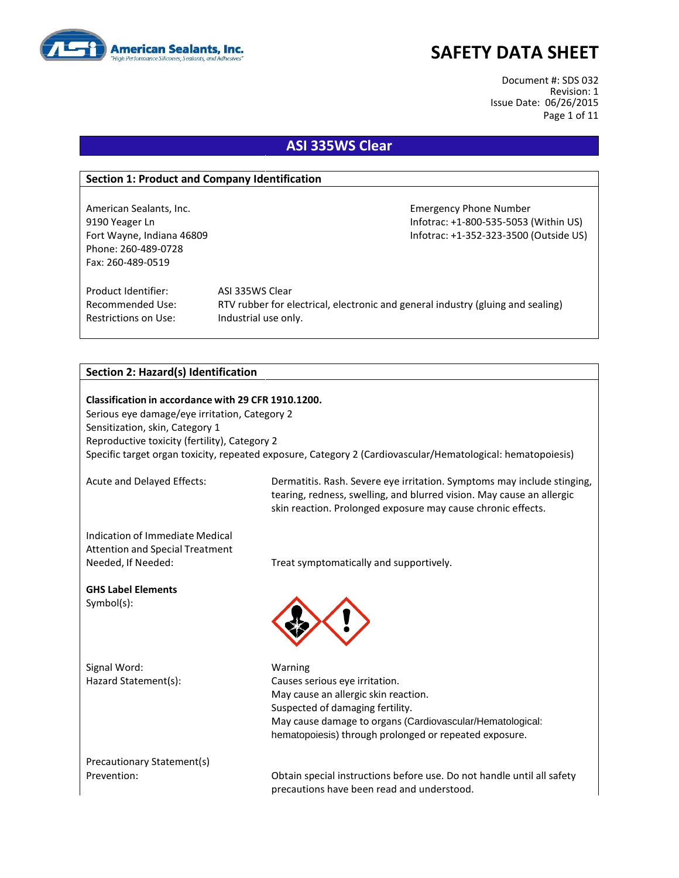

Document #: SDS 032 Revision: 1 Issue Date: 06/26/2015 Page 1 of 11

### **ASI 335WS Clear**

#### **Section 1: Product and Company Identification**

Phone: 260-489-0728 Fax: 260-489-0519

American Sealants, Inc. **Emergency Phone Number** Emergency Phone Number 9190 Yeager Ln Infotrac: +1-800-535-5053 (Within US) Fort Wayne, Indiana 46809 **Information Controller Server Act 2018** Infotrac: +1-352-323-3500 (Outside US)

Product Identifier: ASI 335WS Clear Restrictions on Use: Industrial use only.

Recommended Use: RTV rubber for electrical, electronic and general industry (gluing and sealing)

#### **Section 2: Hazard(s) Identification**

**Classification in accordance with 29 CFR 1910.1200.** Serious eye damage/eye irritation, Category 2 Sensitization, skin, Category 1 Reproductive toxicity (fertility), Category 2 Specific target organ toxicity, repeated exposure, Category 2 (Cardiovascular/Hematological: hematopoiesis)

Acute and Delayed Effects: Dermatitis. Rash. Severe eye irritation. Symptoms may include stinging, tearing, redness, swelling, and blurred vision. May cause an allergic skin reaction. Prolonged exposure may cause chronic effects.

Indication of Immediate Medical Attention and Special Treatment

**GHS Label Elements** Symbol(s):

Signal Word: Warning

Needed, If Needed: Treat symptomatically and supportively.



Hazard Statement(s): Causes serious eye irritation. May cause an allergic skin reaction. Suspected of damaging fertility. May cause damage to organs (Cardiovascular/Hematological: hematopoiesis) through prolonged or repeated exposure.

Precautionary Statement(s)

Prevention: Obtain special instructions before use. Do not handle until all safety precautions have been read and understood.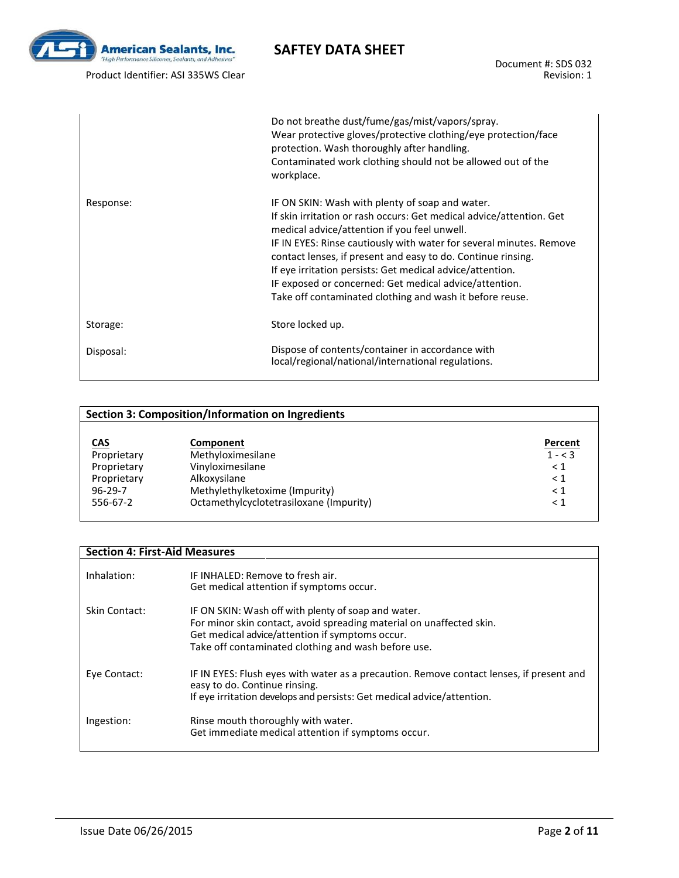

Product Identifier: ASI 335WS Clear

Document #: SDS 032 Revision: 1

|           | Do not breathe dust/fume/gas/mist/vapors/spray.<br>Wear protective gloves/protective clothing/eye protection/face<br>protection. Wash thoroughly after handling.<br>Contaminated work clothing should not be allowed out of the<br>workplace.                                                                                                                                                                                                                                                     |
|-----------|---------------------------------------------------------------------------------------------------------------------------------------------------------------------------------------------------------------------------------------------------------------------------------------------------------------------------------------------------------------------------------------------------------------------------------------------------------------------------------------------------|
| Response: | IF ON SKIN: Wash with plenty of soap and water.<br>If skin irritation or rash occurs: Get medical advice/attention. Get<br>medical advice/attention if you feel unwell.<br>IF IN EYES: Rinse cautiously with water for several minutes. Remove<br>contact lenses, if present and easy to do. Continue rinsing.<br>If eye irritation persists: Get medical advice/attention.<br>IF exposed or concerned: Get medical advice/attention.<br>Take off contaminated clothing and wash it before reuse. |
| Storage:  | Store locked up.                                                                                                                                                                                                                                                                                                                                                                                                                                                                                  |
| Disposal: | Dispose of contents/container in accordance with<br>local/regional/national/international regulations.                                                                                                                                                                                                                                                                                                                                                                                            |

|               | <b>Section 3: Composition/Information on Ingredients</b> |           |
|---------------|----------------------------------------------------------|-----------|
|               |                                                          |           |
| <u>CAS</u>    | Component                                                | Percent   |
| Proprietary   | Methyloximesilane                                        | $1 - < 3$ |
| Proprietary   | Vinyloximesilane                                         | $\leq 1$  |
| Proprietary   | Alkoxysilane                                             | $\leq 1$  |
| $96 - 29 - 7$ | Methylethylketoxime (Impurity)                           | < 1       |
| 556-67-2      | Octamethylcyclotetrasiloxane (Impurity)                  | < 1       |

### **Section 4: First-Aid Measures**

| Inhalation:   | IF INHALED: Remove to fresh air.<br>Get medical attention if symptoms occur.                                                                                                                                                          |
|---------------|---------------------------------------------------------------------------------------------------------------------------------------------------------------------------------------------------------------------------------------|
| Skin Contact: | IF ON SKIN: Wash off with plenty of soap and water.<br>For minor skin contact, avoid spreading material on unaffected skin.<br>Get medical advice/attention if symptoms occur.<br>Take off contaminated clothing and wash before use. |
| Eye Contact:  | IF IN EYES: Flush eyes with water as a precaution. Remove contact lenses, if present and<br>easy to do. Continue rinsing.<br>If eye irritation develops and persists: Get medical advice/attention.                                   |
| Ingestion:    | Rinse mouth thoroughly with water.<br>Get immediate medical attention if symptoms occur.                                                                                                                                              |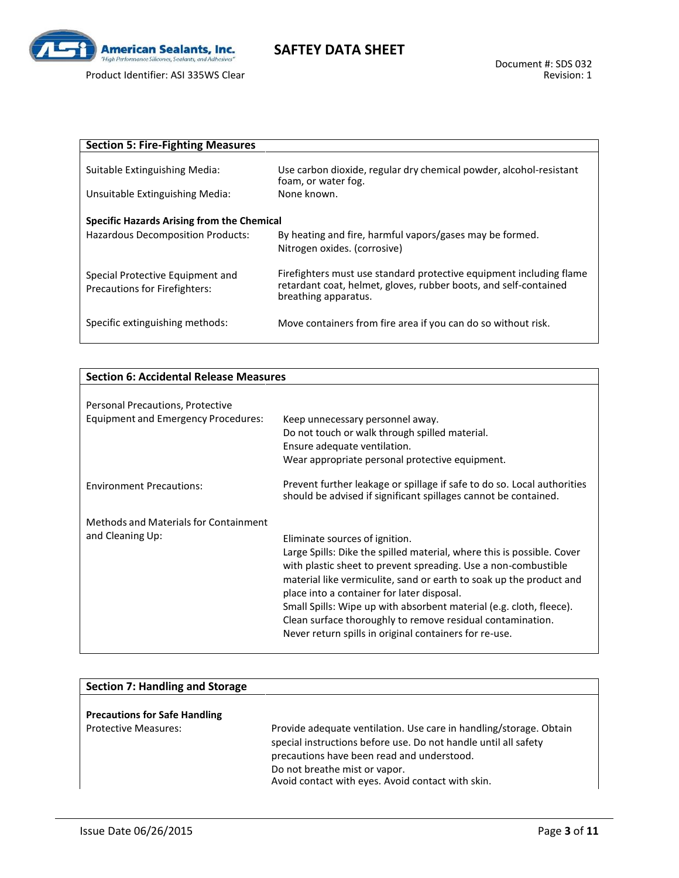

| <b>Section 5: Fire-Fighting Measures</b>                                 |                                                                                                                                                                 |
|--------------------------------------------------------------------------|-----------------------------------------------------------------------------------------------------------------------------------------------------------------|
| Suitable Extinguishing Media:                                            | Use carbon dioxide, regular dry chemical powder, alcohol-resistant<br>foam, or water fog.                                                                       |
| Unsuitable Extinguishing Media:                                          | None known.                                                                                                                                                     |
| Specific Hazards Arising from the Chemical                               |                                                                                                                                                                 |
| <b>Hazardous Decomposition Products:</b>                                 | By heating and fire, harmful vapors/gases may be formed.<br>Nitrogen oxides. (corrosive)                                                                        |
| Special Protective Equipment and<br><b>Precautions for Firefighters:</b> | Firefighters must use standard protective equipment including flame<br>retardant coat, helmet, gloves, rubber boots, and self-contained<br>breathing apparatus. |
| Specific extinguishing methods:                                          | Move containers from fire area if you can do so without risk.                                                                                                   |

| <b>Section 6: Accidental Release Measures</b> |                                                                                                                                                                                                                                                                                                                                                                                                                                                              |
|-----------------------------------------------|--------------------------------------------------------------------------------------------------------------------------------------------------------------------------------------------------------------------------------------------------------------------------------------------------------------------------------------------------------------------------------------------------------------------------------------------------------------|
|                                               |                                                                                                                                                                                                                                                                                                                                                                                                                                                              |
| Personal Precautions, Protective              |                                                                                                                                                                                                                                                                                                                                                                                                                                                              |
| <b>Equipment and Emergency Procedures:</b>    | Keep unnecessary personnel away.                                                                                                                                                                                                                                                                                                                                                                                                                             |
|                                               | Do not touch or walk through spilled material.                                                                                                                                                                                                                                                                                                                                                                                                               |
|                                               | Ensure adequate ventilation.                                                                                                                                                                                                                                                                                                                                                                                                                                 |
|                                               | Wear appropriate personal protective equipment.                                                                                                                                                                                                                                                                                                                                                                                                              |
| <b>Environment Precautions:</b>               | Prevent further leakage or spillage if safe to do so. Local authorities<br>should be advised if significant spillages cannot be contained.                                                                                                                                                                                                                                                                                                                   |
| <b>Methods and Materials for Containment</b>  |                                                                                                                                                                                                                                                                                                                                                                                                                                                              |
| and Cleaning Up:                              | Eliminate sources of ignition.                                                                                                                                                                                                                                                                                                                                                                                                                               |
|                                               | Large Spills: Dike the spilled material, where this is possible. Cover<br>with plastic sheet to prevent spreading. Use a non-combustible<br>material like vermiculite, sand or earth to soak up the product and<br>place into a container for later disposal.<br>Small Spills: Wipe up with absorbent material (e.g. cloth, fleece).<br>Clean surface thoroughly to remove residual contamination.<br>Never return spills in original containers for re-use. |

| <b>Section 7: Handling and Storage</b> |                                                                                                                                                                                     |
|----------------------------------------|-------------------------------------------------------------------------------------------------------------------------------------------------------------------------------------|
| <b>Precautions for Safe Handling</b>   |                                                                                                                                                                                     |
| <b>Protective Measures:</b>            | Provide adequate ventilation. Use care in handling/storage. Obtain<br>special instructions before use. Do not handle until all safety<br>precautions have been read and understood. |
|                                        | Do not breathe mist or vapor.<br>Avoid contact with eyes. Avoid contact with skin.                                                                                                  |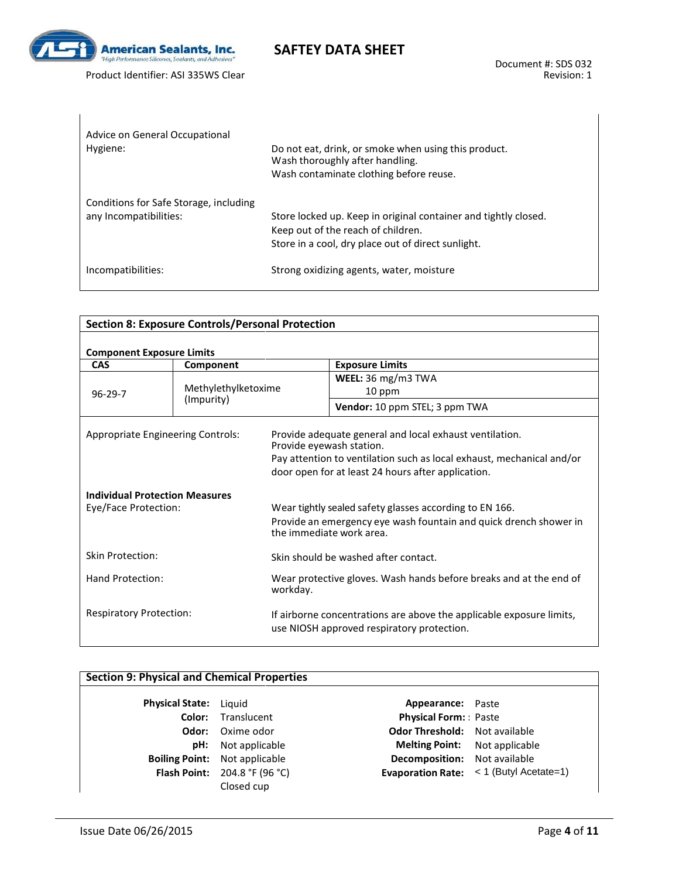

Product Identifier: ASI 335WS Clear

| Advice on General Occupational<br>Hygiene:                       | Do not eat, drink, or smoke when using this product.<br>Wash thoroughly after handling.<br>Wash contaminate clothing before reuse.                          |
|------------------------------------------------------------------|-------------------------------------------------------------------------------------------------------------------------------------------------------------|
| Conditions for Safe Storage, including<br>any Incompatibilities: | Store locked up. Keep in original container and tightly closed.<br>Keep out of the reach of children.<br>Store in a cool, dry place out of direct sunlight. |
| Incompatibilities:                                               | Strong oxidizing agents, water, moisture                                                                                                                    |

| <b>Section 8: Exposure Controls/Personal Protection</b>       |            |                                                                    |                                                                                                                                                                                                                    |  |
|---------------------------------------------------------------|------------|--------------------------------------------------------------------|--------------------------------------------------------------------------------------------------------------------------------------------------------------------------------------------------------------------|--|
| <b>Component Exposure Limits</b>                              |            |                                                                    |                                                                                                                                                                                                                    |  |
| <b>CAS</b>                                                    | Component  |                                                                    | <b>Exposure Limits</b>                                                                                                                                                                                             |  |
|                                                               |            |                                                                    | WEEL: 36 mg/m3 TWA                                                                                                                                                                                                 |  |
| Methylethylketoxime<br>$96 - 29 - 7$                          |            | 10 ppm                                                             |                                                                                                                                                                                                                    |  |
|                                                               | (Impurity) |                                                                    | Vendor: 10 ppm STEL; 3 ppm TWA                                                                                                                                                                                     |  |
| Appropriate Engineering Controls:                             |            |                                                                    | Provide adequate general and local exhaust ventilation.<br>Provide eyewash station.<br>Pay attention to ventilation such as local exhaust, mechanical and/or<br>door open for at least 24 hours after application. |  |
| <b>Individual Protection Measures</b><br>Eye/Face Protection: |            |                                                                    | Wear tightly sealed safety glasses according to EN 166.<br>Provide an emergency eye wash fountain and quick drench shower in<br>the immediate work area.                                                           |  |
| Skin Protection:<br>Skin should be washed after contact.      |            |                                                                    |                                                                                                                                                                                                                    |  |
| Hand Protection:<br>workday.                                  |            | Wear protective gloves. Wash hands before breaks and at the end of |                                                                                                                                                                                                                    |  |
| <b>Respiratory Protection:</b>                                |            |                                                                    | If airborne concentrations are above the applicable exposure limits,<br>use NIOSH approved respiratory protection.                                                                                                 |  |

#### **Section 9: Physical and Chemical Properties**

| Physical State: Liquid |                           |
|------------------------|---------------------------|
|                        | <b>Color:</b> Translucent |
| Odor:                  | Oxime odor                |
| pH:                    | Not applicable            |
| <b>Boiling Point:</b>  | Not applicable            |
| <b>Flash Point:</b>    | 204.8 °F (96 °C)          |
|                        | Closed cup                |

**Appearance:** Paste **Physical Form:** : Paste **Odor Threshold:** Not available **Melting Point:** Not applicable **Becomposition:** Not available **Evaporation Rate:** < 1 (Butyl Acetate=1)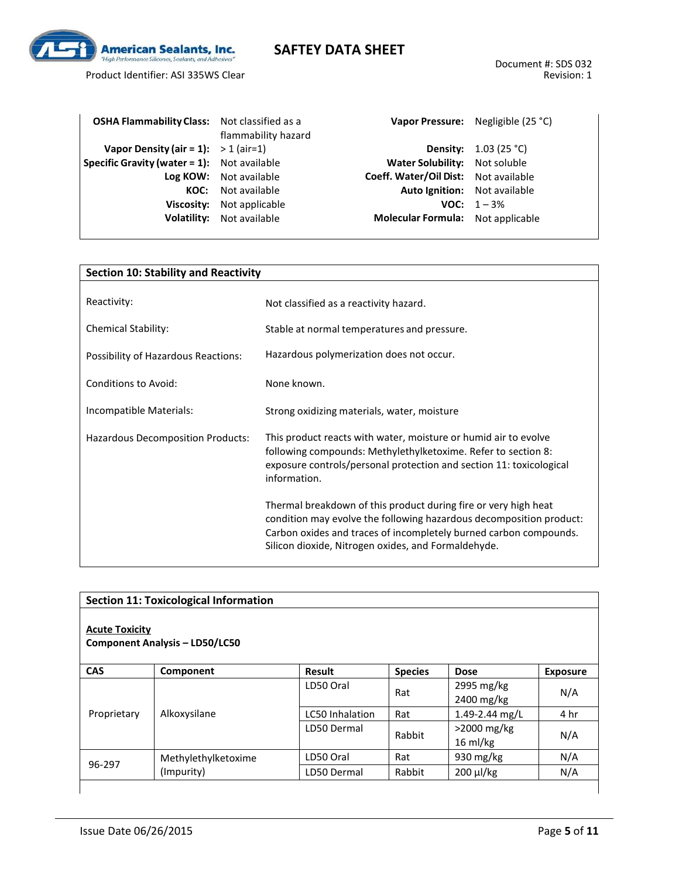

Product Identifier: ASI 335WS Clear

| <b>OSHA Flammability Class:</b> Not classified as a |                                  |                                      | Vapor Pressure: Negligible (25 °C) |
|-----------------------------------------------------|----------------------------------|--------------------------------------|------------------------------------|
|                                                     | flammability hazard              |                                      |                                    |
| Vapor Density (air = 1): $> 1$ (air=1)              |                                  |                                      | <b>Density:</b> $1.03$ (25 °C)     |
| <b>Specific Gravity (water = 1):</b> Not available  |                                  | Water Solubility: Not soluble        |                                    |
|                                                     | Log KOW: Not available           | Coeff. Water/Oil Dist: Not available |                                    |
| KOC:                                                | Not available                    | <b>Auto Ignition:</b> Not available  |                                    |
|                                                     | <b>Viscosity:</b> Not applicable |                                      | <b>VOC:</b> $1 - 3\%$              |
|                                                     | <b>Volatility:</b> Not available | Molecular Formula: Not applicable    |                                    |
|                                                     |                                  |                                      |                                    |

| <b>Section 10: Stability and Reactivity</b> |                                                                                                                                                                                                                                                                    |
|---------------------------------------------|--------------------------------------------------------------------------------------------------------------------------------------------------------------------------------------------------------------------------------------------------------------------|
| Reactivity:                                 | Not classified as a reactivity hazard.                                                                                                                                                                                                                             |
| <b>Chemical Stability:</b>                  | Stable at normal temperatures and pressure.                                                                                                                                                                                                                        |
| Possibility of Hazardous Reactions:         | Hazardous polymerization does not occur.                                                                                                                                                                                                                           |
| <b>Conditions to Avoid:</b>                 | None known.                                                                                                                                                                                                                                                        |
| Incompatible Materials:                     | Strong oxidizing materials, water, moisture                                                                                                                                                                                                                        |
| Hazardous Decomposition Products:           | This product reacts with water, moisture or humid air to evolve<br>following compounds: Methylethylketoxime. Refer to section 8:<br>exposure controls/personal protection and section 11: toxicological<br>information.                                            |
|                                             | Thermal breakdown of this product during fire or very high heat<br>condition may evolve the following hazardous decomposition product:<br>Carbon oxides and traces of incompletely burned carbon compounds.<br>Silicon dioxide, Nitrogen oxides, and Formaldehyde. |

|                       | <b>Section 11: Toxicological Information</b> |                        |                |                                     |                 |
|-----------------------|----------------------------------------------|------------------------|----------------|-------------------------------------|-----------------|
| <b>Acute Toxicity</b> | Component Analysis - LD50/LC50               |                        |                |                                     |                 |
| <b>CAS</b>            | Component                                    | <b>Result</b>          | <b>Species</b> | <b>Dose</b>                         | <b>Exposure</b> |
|                       |                                              | LD50 Oral              | Rat            | 2995 mg/kg<br>2400 mg/kg            | N/A             |
| Proprietary           | Alkoxysilane                                 | <b>LC50 Inhalation</b> | Rat            | 1.49-2.44 mg/L                      | 4 hr            |
|                       |                                              | LD50 Dermal            | Rabbit         | $>2000$ mg/kg<br>$16 \text{ ml/kg}$ | N/A             |
|                       | Methylethylketoxime                          | LD50 Oral              | Rat            | 930 $mg/kg$                         | N/A             |
| 96-297                | (Impurity)                                   | LD50 Dermal            | Rabbit         | $200 \mu$ /kg                       | N/A             |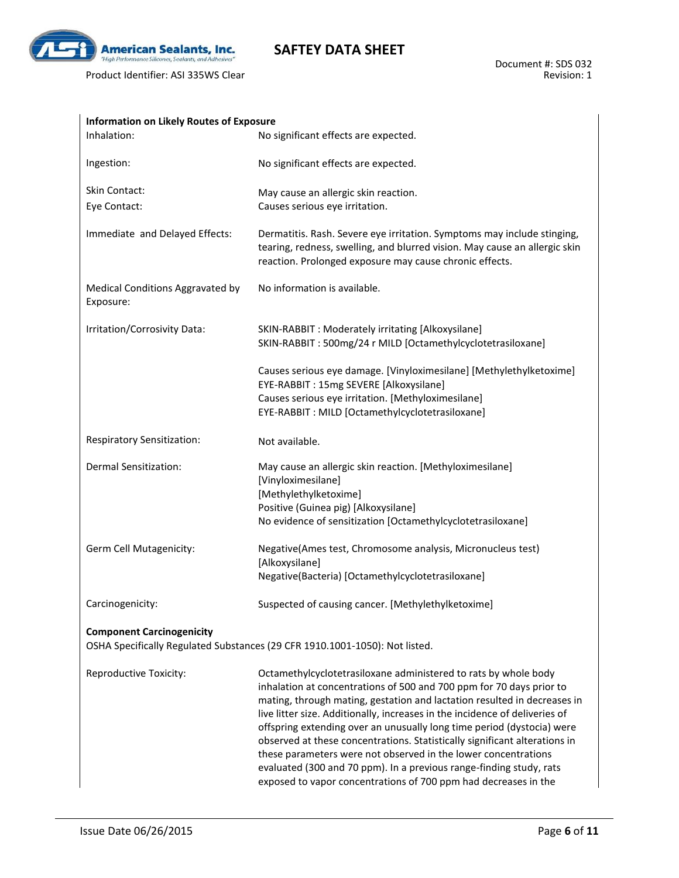

| <b>Information on Likely Routes of Exposure</b> |                                                                                                                                                                                                                                                                                                                                                                                                                                                                                                                                                                                                                                                                        |
|-------------------------------------------------|------------------------------------------------------------------------------------------------------------------------------------------------------------------------------------------------------------------------------------------------------------------------------------------------------------------------------------------------------------------------------------------------------------------------------------------------------------------------------------------------------------------------------------------------------------------------------------------------------------------------------------------------------------------------|
| Inhalation:                                     | No significant effects are expected.                                                                                                                                                                                                                                                                                                                                                                                                                                                                                                                                                                                                                                   |
| Ingestion:                                      | No significant effects are expected.                                                                                                                                                                                                                                                                                                                                                                                                                                                                                                                                                                                                                                   |
| Skin Contact:                                   | May cause an allergic skin reaction.                                                                                                                                                                                                                                                                                                                                                                                                                                                                                                                                                                                                                                   |
| Eye Contact:                                    | Causes serious eye irritation.                                                                                                                                                                                                                                                                                                                                                                                                                                                                                                                                                                                                                                         |
| Immediate and Delayed Effects:                  | Dermatitis. Rash. Severe eye irritation. Symptoms may include stinging,<br>tearing, redness, swelling, and blurred vision. May cause an allergic skin<br>reaction. Prolonged exposure may cause chronic effects.                                                                                                                                                                                                                                                                                                                                                                                                                                                       |
| Medical Conditions Aggravated by<br>Exposure:   | No information is available.                                                                                                                                                                                                                                                                                                                                                                                                                                                                                                                                                                                                                                           |
| Irritation/Corrosivity Data:                    | SKIN-RABBIT : Moderately irritating [Alkoxysilane]<br>SKIN-RABBIT: 500mg/24 r MILD [Octamethylcyclotetrasiloxane]                                                                                                                                                                                                                                                                                                                                                                                                                                                                                                                                                      |
|                                                 | Causes serious eye damage. [Vinyloximesilane] [Methylethylketoxime]<br>EYE-RABBIT: 15mg SEVERE [Alkoxysilane]<br>Causes serious eye irritation. [Methyloximesilane]<br>EYE-RABBIT : MILD [Octamethylcyclotetrasiloxane]                                                                                                                                                                                                                                                                                                                                                                                                                                                |
| Respiratory Sensitization:                      | Not available.                                                                                                                                                                                                                                                                                                                                                                                                                                                                                                                                                                                                                                                         |
| Dermal Sensitization:                           | May cause an allergic skin reaction. [Methyloximesilane]<br>[Vinyloximesilane]<br>[Methylethylketoxime]<br>Positive (Guinea pig) [Alkoxysilane]<br>No evidence of sensitization [Octamethylcyclotetrasiloxane]                                                                                                                                                                                                                                                                                                                                                                                                                                                         |
| Germ Cell Mutagenicity:                         | Negative(Ames test, Chromosome analysis, Micronucleus test)<br>[Alkoxysilane]<br>Negative(Bacteria) [Octamethylcyclotetrasiloxane]                                                                                                                                                                                                                                                                                                                                                                                                                                                                                                                                     |
| Carcinogenicity:                                | Suspected of causing cancer. [Methylethylketoxime]                                                                                                                                                                                                                                                                                                                                                                                                                                                                                                                                                                                                                     |
| <b>Component Carcinogenicity</b>                | OSHA Specifically Regulated Substances (29 CFR 1910.1001-1050): Not listed.                                                                                                                                                                                                                                                                                                                                                                                                                                                                                                                                                                                            |
| Reproductive Toxicity:                          | Octamethylcyclotetrasiloxane administered to rats by whole body<br>inhalation at concentrations of 500 and 700 ppm for 70 days prior to<br>mating, through mating, gestation and lactation resulted in decreases in<br>live litter size. Additionally, increases in the incidence of deliveries of<br>offspring extending over an unusually long time period (dystocia) were<br>observed at these concentrations. Statistically significant alterations in<br>these parameters were not observed in the lower concentrations<br>evaluated (300 and 70 ppm). In a previous range-finding study, rats<br>exposed to vapor concentrations of 700 ppm had decreases in the |

**SAFTEY DATA SHEET**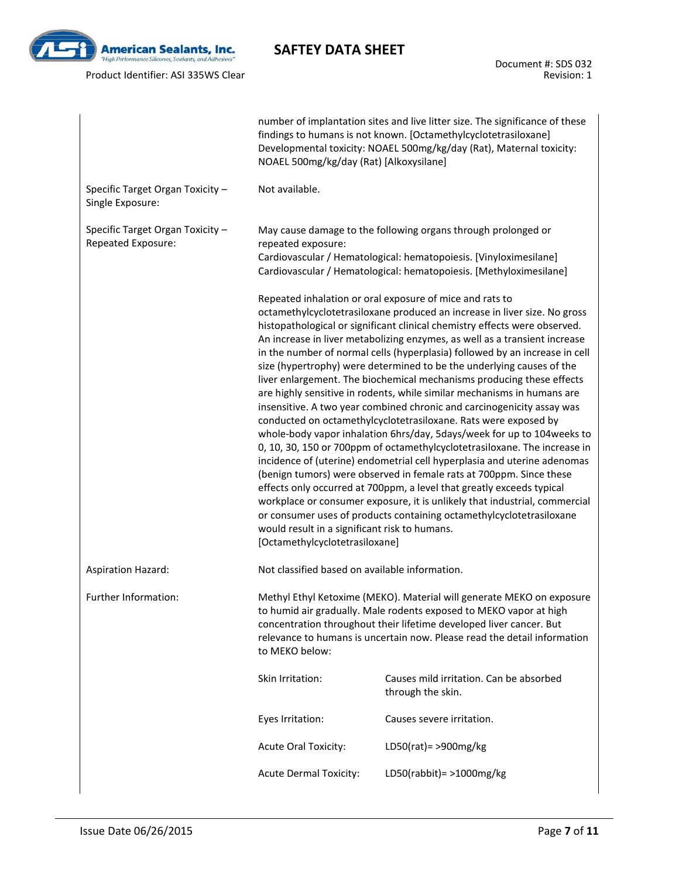

**SAFTEY DATA SHEET**

Document #: SDS 032 Revision: 1

|                                                        | NOAEL 500mg/kg/day (Rat) [Alkoxysilane]                                         | number of implantation sites and live litter size. The significance of these<br>findings to humans is not known. [Octamethylcyclotetrasiloxane]<br>Developmental toxicity: NOAEL 500mg/kg/day (Rat), Maternal toxicity:                                                                                                                                                                                                                                                                                                                                                                                                                                                                                                                                                                                                                                                                                                                                                                                                                                                                                                                                                                                                                                                                              |
|--------------------------------------------------------|---------------------------------------------------------------------------------|------------------------------------------------------------------------------------------------------------------------------------------------------------------------------------------------------------------------------------------------------------------------------------------------------------------------------------------------------------------------------------------------------------------------------------------------------------------------------------------------------------------------------------------------------------------------------------------------------------------------------------------------------------------------------------------------------------------------------------------------------------------------------------------------------------------------------------------------------------------------------------------------------------------------------------------------------------------------------------------------------------------------------------------------------------------------------------------------------------------------------------------------------------------------------------------------------------------------------------------------------------------------------------------------------|
| Specific Target Organ Toxicity -<br>Single Exposure:   | Not available.                                                                  |                                                                                                                                                                                                                                                                                                                                                                                                                                                                                                                                                                                                                                                                                                                                                                                                                                                                                                                                                                                                                                                                                                                                                                                                                                                                                                      |
| Specific Target Organ Toxicity -<br>Repeated Exposure: | repeated exposure:                                                              | May cause damage to the following organs through prolonged or<br>Cardiovascular / Hematological: hematopoiesis. [Vinyloximesilane]<br>Cardiovascular / Hematological: hematopoiesis. [Methyloximesilane]                                                                                                                                                                                                                                                                                                                                                                                                                                                                                                                                                                                                                                                                                                                                                                                                                                                                                                                                                                                                                                                                                             |
|                                                        | would result in a significant risk to humans.<br>[Octamethylcyclotetrasiloxane] | Repeated inhalation or oral exposure of mice and rats to<br>octamethylcyclotetrasiloxane produced an increase in liver size. No gross<br>histopathological or significant clinical chemistry effects were observed.<br>An increase in liver metabolizing enzymes, as well as a transient increase<br>in the number of normal cells (hyperplasia) followed by an increase in cell<br>size (hypertrophy) were determined to be the underlying causes of the<br>liver enlargement. The biochemical mechanisms producing these effects<br>are highly sensitive in rodents, while similar mechanisms in humans are<br>insensitive. A two year combined chronic and carcinogenicity assay was<br>conducted on octamethylcyclotetrasiloxane. Rats were exposed by<br>whole-body vapor inhalation 6hrs/day, 5days/week for up to 104 weeks to<br>0, 10, 30, 150 or 700ppm of octamethylcyclotetrasiloxane. The increase in<br>incidence of (uterine) endometrial cell hyperplasia and uterine adenomas<br>(benign tumors) were observed in female rats at 700ppm. Since these<br>effects only occurred at 700ppm, a level that greatly exceeds typical<br>workplace or consumer exposure, it is unlikely that industrial, commercial<br>or consumer uses of products containing octamethylcyclotetrasiloxane |
| <b>Aspiration Hazard:</b>                              | Not classified based on available information.                                  |                                                                                                                                                                                                                                                                                                                                                                                                                                                                                                                                                                                                                                                                                                                                                                                                                                                                                                                                                                                                                                                                                                                                                                                                                                                                                                      |
| Further Information:                                   | to MEKO below:                                                                  | Methyl Ethyl Ketoxime (MEKO). Material will generate MEKO on exposure<br>to humid air gradually. Male rodents exposed to MEKO vapor at high<br>concentration throughout their lifetime developed liver cancer. But<br>relevance to humans is uncertain now. Please read the detail information                                                                                                                                                                                                                                                                                                                                                                                                                                                                                                                                                                                                                                                                                                                                                                                                                                                                                                                                                                                                       |
|                                                        | Skin Irritation:                                                                | Causes mild irritation. Can be absorbed<br>through the skin.                                                                                                                                                                                                                                                                                                                                                                                                                                                                                                                                                                                                                                                                                                                                                                                                                                                                                                                                                                                                                                                                                                                                                                                                                                         |
|                                                        | Eyes Irritation:                                                                | Causes severe irritation.                                                                                                                                                                                                                                                                                                                                                                                                                                                                                                                                                                                                                                                                                                                                                                                                                                                                                                                                                                                                                                                                                                                                                                                                                                                                            |
|                                                        | <b>Acute Oral Toxicity:</b>                                                     | LD50(rat) = > 900mg/kg                                                                                                                                                                                                                                                                                                                                                                                                                                                                                                                                                                                                                                                                                                                                                                                                                                                                                                                                                                                                                                                                                                                                                                                                                                                                               |
|                                                        | <b>Acute Dermal Toxicity:</b>                                                   | LD50(rabbit) = $>1000$ mg/kg                                                                                                                                                                                                                                                                                                                                                                                                                                                                                                                                                                                                                                                                                                                                                                                                                                                                                                                                                                                                                                                                                                                                                                                                                                                                         |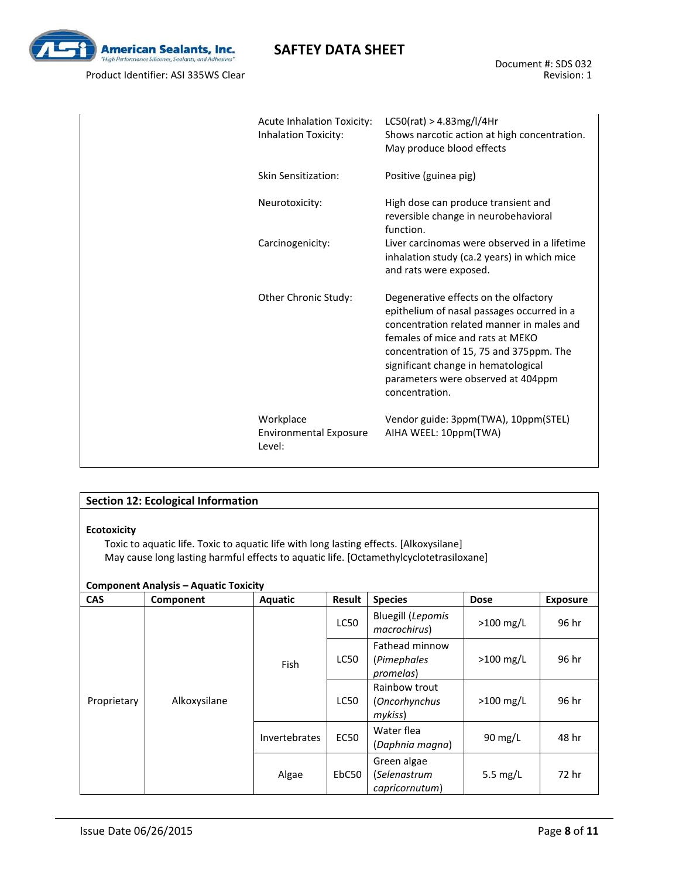

### **SAFTEY DATA SHEET**

| <b>Acute Inhalation Toxicity:</b><br>Inhalation Toxicity: | LC50(rat) > 4.83mg/l/4Hr<br>Shows narcotic action at high concentration.<br>May produce blood effects                                                                                                                                                                                                          |
|-----------------------------------------------------------|----------------------------------------------------------------------------------------------------------------------------------------------------------------------------------------------------------------------------------------------------------------------------------------------------------------|
| Skin Sensitization:                                       | Positive (guinea pig)                                                                                                                                                                                                                                                                                          |
| Neurotoxicity:                                            | High dose can produce transient and<br>reversible change in neurobehavioral<br>function.                                                                                                                                                                                                                       |
| Carcinogenicity:                                          | Liver carcinomas were observed in a lifetime<br>inhalation study (ca.2 years) in which mice<br>and rats were exposed.                                                                                                                                                                                          |
| Other Chronic Study:                                      | Degenerative effects on the olfactory<br>epithelium of nasal passages occurred in a<br>concentration related manner in males and<br>females of mice and rats at MEKO<br>concentration of 15, 75 and 375ppm. The<br>significant change in hematological<br>parameters were observed at 404ppm<br>concentration. |
| Workplace<br><b>Environmental Exposure</b><br>Level:      | Vendor guide: 3ppm(TWA), 10ppm(STEL)<br>AIHA WEEL: 10ppm(TWA)                                                                                                                                                                                                                                                  |

#### **Section 12: Ecological Information**

#### **Ecotoxicity**

Toxic to aquatic life. Toxic to aquatic life with long lasting effects. [Alkoxysilane] May cause long lasting harmful effects to aquatic life. [Octamethylcyclotetrasiloxane]

#### **Component Analysis – Aquatic Toxicity**

| <b>CAS</b>  | Component    | Aquatic       | <b>Result</b> | <b>Species</b>                                | <b>Dose</b> | <b>Exposure</b> |
|-------------|--------------|---------------|---------------|-----------------------------------------------|-------------|-----------------|
|             |              |               | <b>LC50</b>   | <b>Bluegill (Lepomis</b><br>macrochirus)      | $>100$ mg/L | 96 hr           |
|             |              | Fish          | <b>LC50</b>   | Fathead minnow<br>(Pimephales<br>promelas)    | $>100$ mg/L | 96 hr           |
| Proprietary | Alkoxysilane |               | <b>LC50</b>   | Rainbow trout<br>(Oncorhynchus<br>mykiss)     | $>100$ mg/L | 96 hr           |
|             |              | Invertebrates | <b>EC50</b>   | Water flea<br>(Daphnia magna)                 | 90 mg/L     | 48 hr           |
|             |              | Algae         | EbC50         | Green algae<br>(Selenastrum<br>capricornutum) | 5.5 $mg/L$  | 72 hr           |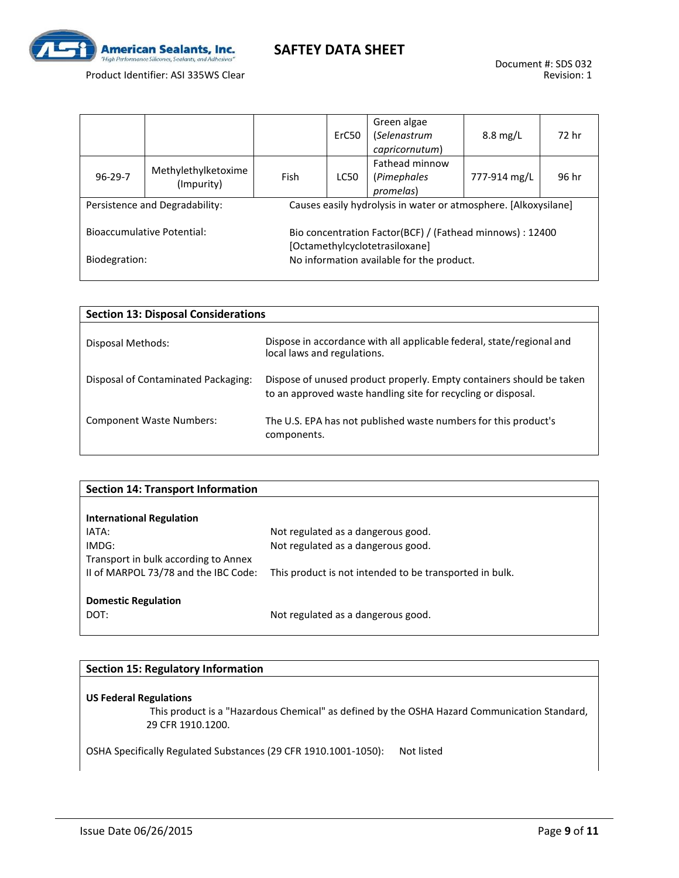

Product Identifier: ASI 335WS Clear

|                                                                                                                                  |                                   |      | ErC50       | Green algae<br>(Selenastrum<br>capricornutum)                   | $8.8 \text{ mg/L}$ | 72 hr |
|----------------------------------------------------------------------------------------------------------------------------------|-----------------------------------|------|-------------|-----------------------------------------------------------------|--------------------|-------|
| $96 - 29 - 7$                                                                                                                    | Methylethylketoxime<br>(Impurity) | Fish | <b>LC50</b> | Fathead minnow<br>(Pimephales<br>promelas)                      | 777-914 mg/L       | 96 hr |
|                                                                                                                                  | Persistence and Degradability:    |      |             | Causes easily hydrolysis in water or atmosphere. [Alkoxysilane] |                    |       |
| <b>Bioaccumulative Potential:</b><br>Bio concentration Factor(BCF) / (Fathead minnows) : 12400<br>[Octamethylcyclotetrasiloxane] |                                   |      |             |                                                                 |                    |       |
| Biodegration:                                                                                                                    |                                   |      |             | No information available for the product.                       |                    |       |

| <b>Section 13: Disposal Considerations</b> |                                                                                                                                       |  |  |  |
|--------------------------------------------|---------------------------------------------------------------------------------------------------------------------------------------|--|--|--|
| Disposal Methods:                          | Dispose in accordance with all applicable federal, state/regional and<br>local laws and regulations.                                  |  |  |  |
| Disposal of Contaminated Packaging:        | Dispose of unused product properly. Empty containers should be taken<br>to an approved waste handling site for recycling or disposal. |  |  |  |
| <b>Component Waste Numbers:</b>            | The U.S. EPA has not published waste numbers for this product's<br>components.                                                        |  |  |  |

| <b>Section 14: Transport Information</b> |                                                         |
|------------------------------------------|---------------------------------------------------------|
|                                          |                                                         |
| <b>International Regulation</b>          |                                                         |
| IATA:                                    | Not regulated as a dangerous good.                      |
| IMDG:                                    | Not regulated as a dangerous good.                      |
| Transport in bulk according to Annex     |                                                         |
| II of MARPOL 73/78 and the IBC Code:     | This product is not intended to be transported in bulk. |
|                                          |                                                         |
| <b>Domestic Regulation</b>               |                                                         |
| DOT:                                     | Not regulated as a dangerous good.                      |
|                                          |                                                         |

#### **Section 15: Regulatory Information**

#### **US Federal Regulations**

 This product is a "Hazardous Chemical" as defined by the OSHA Hazard Communication Standard, 29 CFR 1910.1200.

OSHA Specifically Regulated Substances (29 CFR 1910.1001-1050): Not listed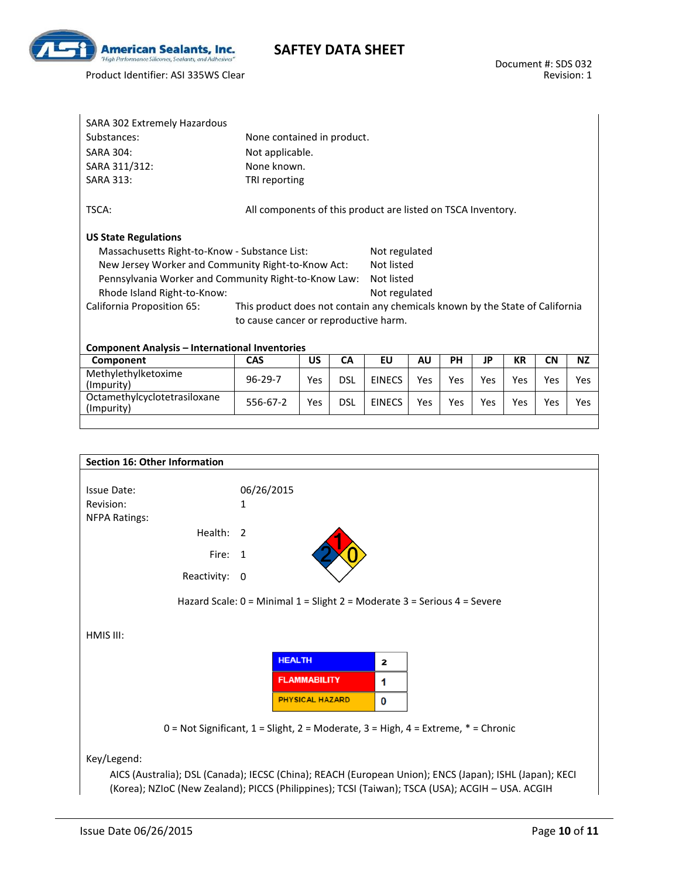

Product Identifier: ASI 335WS Clear

| SARA 302 Extremely Hazardous                          |                                                                              |           |            |               |           |            |     |            |           |           |
|-------------------------------------------------------|------------------------------------------------------------------------------|-----------|------------|---------------|-----------|------------|-----|------------|-----------|-----------|
| Substances:                                           | None contained in product.                                                   |           |            |               |           |            |     |            |           |           |
| <b>SARA 304:</b>                                      | Not applicable.                                                              |           |            |               |           |            |     |            |           |           |
| SARA 311/312:                                         | None known.                                                                  |           |            |               |           |            |     |            |           |           |
| <b>SARA 313:</b>                                      | TRI reporting                                                                |           |            |               |           |            |     |            |           |           |
| TSCA:                                                 | All components of this product are listed on TSCA Inventory.                 |           |            |               |           |            |     |            |           |           |
| <b>US State Regulations</b>                           |                                                                              |           |            |               |           |            |     |            |           |           |
| Massachusetts Right-to-Know - Substance List:         |                                                                              |           |            | Not regulated |           |            |     |            |           |           |
| New Jersey Worker and Community Right-to-Know Act:    |                                                                              |           |            | Not listed    |           |            |     |            |           |           |
| Pennsylvania Worker and Community Right-to-Know Law:  |                                                                              |           |            | Not listed    |           |            |     |            |           |           |
| Rhode Island Right-to-Know:                           |                                                                              |           |            | Not regulated |           |            |     |            |           |           |
| California Proposition 65:                            | This product does not contain any chemicals known by the State of California |           |            |               |           |            |     |            |           |           |
|                                                       | to cause cancer or reproductive harm.                                        |           |            |               |           |            |     |            |           |           |
|                                                       |                                                                              |           |            |               |           |            |     |            |           |           |
| <b>Component Analysis - International Inventories</b> |                                                                              |           |            |               |           |            |     |            |           |           |
| Component                                             | <b>CAS</b>                                                                   | <b>US</b> | СA         | EU            | <b>AU</b> | <b>PH</b>  | JP  | <b>KR</b>  | <b>CN</b> | <b>NZ</b> |
| Methylethylketoxime<br>(Impurity)                     | $96 - 29 - 7$                                                                | Yes       | <b>DSL</b> | <b>EINECS</b> | Yes       | <b>Yes</b> | Yes | <b>Yes</b> | Yes       | Yes       |

Octamethylcyclotetrasiloxane | 556-67-2 | Yes | DSL | EINECS | Yes | Yes | Yes | Yes | Yes | Yes | Yes<br>(Impurity)

| Issue Date:          |                | 06/26/2015             |   |                                                                                   |
|----------------------|----------------|------------------------|---|-----------------------------------------------------------------------------------|
| Revision:            | 1              |                        |   |                                                                                   |
| <b>NFPA Ratings:</b> |                |                        |   |                                                                                   |
| Health:              | $\overline{2}$ |                        |   |                                                                                   |
| Fire:                | $\mathbf{1}$   |                        |   |                                                                                   |
| Reactivity:          | - 0            |                        |   |                                                                                   |
| HMIS III:            |                |                        |   |                                                                                   |
|                      |                | <b>HEALTH</b>          | 2 |                                                                                   |
|                      |                | <b>FLAMMABILITY</b>    | 1 |                                                                                   |
|                      |                | <b>PHYSICAL HAZARD</b> | 0 |                                                                                   |
|                      |                |                        |   | 0 = Not Significant, 1 = Slight, 2 = Moderate, 3 = High, 4 = Extreme, * = Chronic |